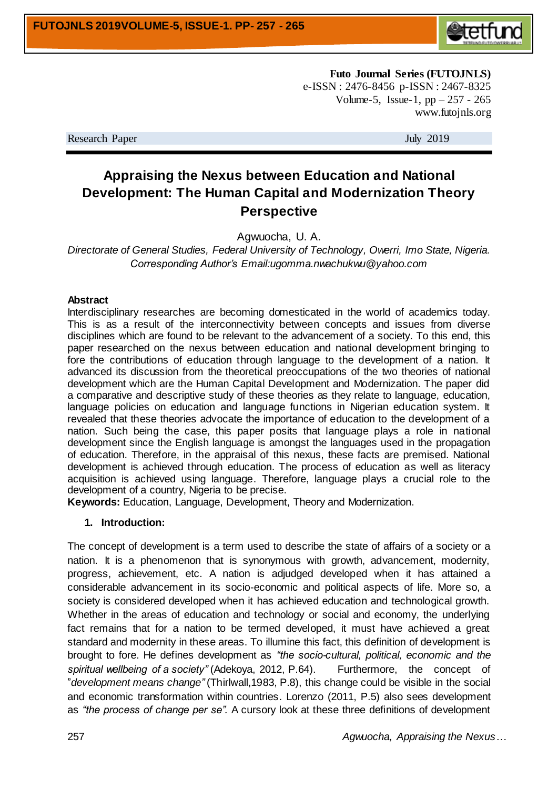

**Futo Journal Series (FUTOJNLS)** e-ISSN : 2476-8456 p-ISSN : 2467-8325 Volume-5, Issue-1,  $pp - 257 - 265$ www.futojnls.org

Research Paper July 2019

# **Appraising the Nexus between Education and National Development: The Human Capital and Modernization Theory Perspective**

Agwuocha, U. A.

*Directorate of General Studies, Federal University of Technology, Owerri, Imo State, Nigeria. Corresponding Author's Email:ugomma.nwachukwu@yahoo.com*

#### **Abstract**

Interdisciplinary researches are becoming domesticated in the world of academics today. This is as a result of the interconnectivity between concepts and issues from diverse disciplines which are found to be relevant to the advancement of a society. To this end, this paper researched on the nexus between education and national development bringing to fore the contributions of education through language to the development of a nation. It advanced its discussion from the theoretical preoccupations of the two theories of national development which are the Human Capital Development and Modernization. The paper did a comparative and descriptive study of these theories as they relate to language, education, language policies on education and language functions in Nigerian education system. It revealed that these theories advocate the importance of education to the development of a nation. Such being the case, this paper posits that language plays a role in national development since the English language is amongst the languages used in the propagation of education. Therefore, in the appraisal of this nexus, these facts are premised. National development is achieved through education. The process of education as well as literacy acquisition is achieved using language. Therefore, language plays a crucial role to the development of a country, Nigeria to be precise.

**Keywords:** Education, Language, Development, Theory and Modernization.

## **1. Introduction:**

The concept of development is a term used to describe the state of affairs of a society or a nation. It is a phenomenon that is synonymous with growth, advancement, modernity, progress, achievement, etc. A nation is adjudged developed when it has attained a considerable advancement in its socio-economic and political aspects of life. More so, a society is considered developed when it has achieved education and technological growth. Whether in the areas of education and technology or social and economy, the underlying fact remains that for a nation to be termed developed, it must have achieved a great standard and modernity in these areas. To illumine this fact, this definition of development is brought to fore. He defines development as *"the socio-cultural, political, economic and the spiritual wellbeing of a society"* (Adekoya, 2012, P.64). Furthermore, the concept of "*development means change"* (Thirlwall,1983, P.8), this change could be visible in the social and economic transformation within countries. Lorenzo (2011, P.5) also sees development as *"the process of change per se".* A cursory look at these three definitions of development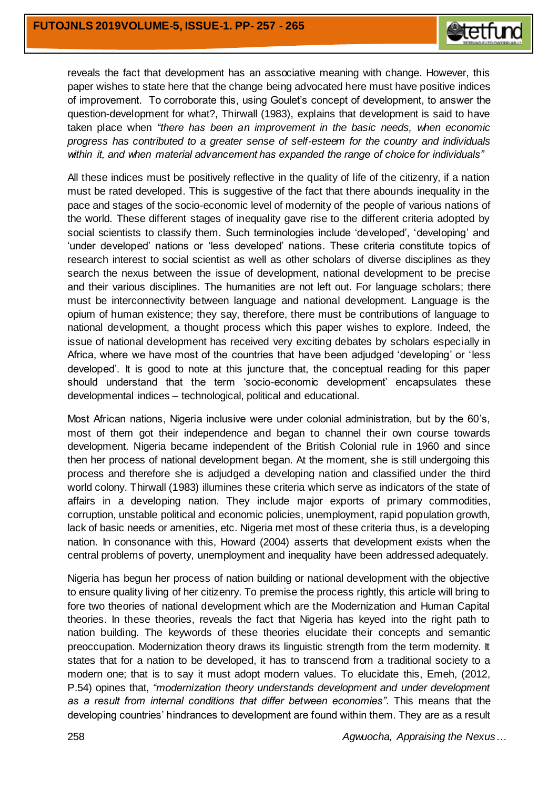

reveals the fact that development has an associative meaning with change. However, this paper wishes to state here that the change being advocated here must have positive indices of improvement. To corroborate this, using Goulet's concept of development, to answer the question-development for what?, Thirwall (1983), explains that development is said to have taken place when *"there has been an improvement in the basic needs, when economic progress has contributed to a greater sense of self-esteem for the country and individuals within it, and when material advancement has expanded the range of choice for individuals"*

All these indices must be positively reflective in the quality of life of the citizenry, if a nation must be rated developed. This is suggestive of the fact that there abounds inequality in the pace and stages of the socio-economic level of modernity of the people of various nations of the world. These different stages of inequality gave rise to the different criteria adopted by social scientists to classify them. Such terminologies include 'developed', 'developing' and 'under developed' nations or 'less developed' nations. These criteria constitute topics of research interest to social scientist as well as other scholars of diverse disciplines as they search the nexus between the issue of development, national development to be precise and their various disciplines. The humanities are not left out. For language scholars; there must be interconnectivity between language and national development. Language is the opium of human existence; they say, therefore, there must be contributions of language to national development, a thought process which this paper wishes to explore. Indeed, the issue of national development has received very exciting debates by scholars especially in Africa, where we have most of the countries that have been adjudged 'developing' or 'less developed'. It is good to note at this juncture that, the conceptual reading for this paper should understand that the term 'socio-economic development' encapsulates these developmental indices – technological, political and educational.

Most African nations, Nigeria inclusive were under colonial administration, but by the 60's, most of them got their independence and began to channel their own course towards development. Nigeria became independent of the British Colonial rule in 1960 and since then her process of national development began. At the moment, she is still undergoing this process and therefore she is adjudged a developing nation and classified under the third world colony. Thirwall (1983) illumines these criteria which serve as indicators of the state of affairs in a developing nation. They include major exports of primary commodities, corruption, unstable political and economic policies, unemployment, rapid population growth, lack of basic needs or amenities, etc. Nigeria met most of these criteria thus, is a developing nation. In consonance with this, Howard (2004) asserts that development exists when the central problems of poverty, unemployment and inequality have been addressed adequately.

Nigeria has begun her process of nation building or national development with the objective to ensure quality living of her citizenry. To premise the process rightly, this article will bring to fore two theories of national development which are the Modernization and Human Capital theories. In these theories, reveals the fact that Nigeria has keyed into the right path to nation building. The keywords of these theories elucidate their concepts and semantic preoccupation. Modernization theory draws its linguistic strength from the term modernity. It states that for a nation to be developed, it has to transcend from a traditional society to a modern one; that is to say it must adopt modern values. To elucidate this, Emeh, (2012, P.54) opines that, *"modernization theory understands development and under development as a result from internal conditions that differ between economies"*. This means that the developing countries' hindrances to development are found within them. They are as a result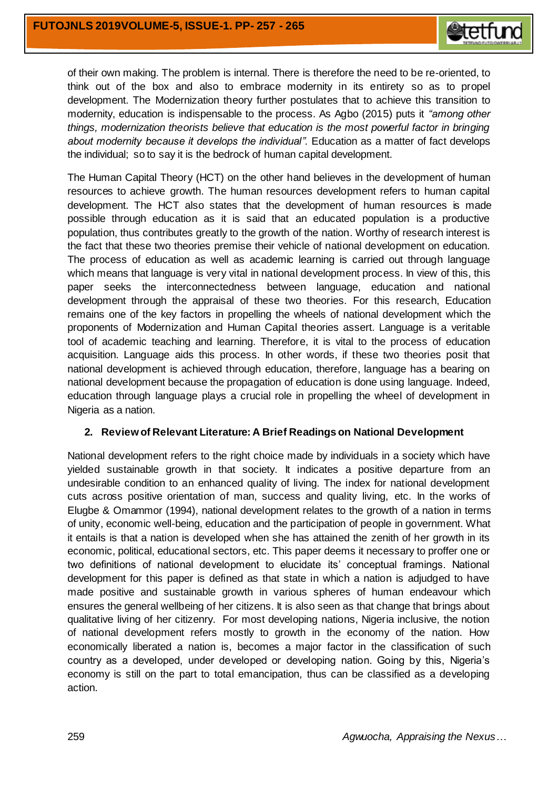

of their own making. The problem is internal. There is therefore the need to be re-oriented, to think out of the box and also to embrace modernity in its entirety so as to propel development. The Modernization theory further postulates that to achieve this transition to modernity, education is indispensable to the process. As Agbo (2015) puts it *"among other things, modernization theorists believe that education is the most powerful factor in bringing about modernity because it develops the individual".* Education as a matter of fact develops the individual; so to say it is the bedrock of human capital development.

The Human Capital Theory (HCT) on the other hand believes in the development of human resources to achieve growth. The human resources development refers to human capital development. The HCT also states that the development of human resources is made possible through education as it is said that an educated population is a productive population, thus contributes greatly to the growth of the nation. Worthy of research interest is the fact that these two theories premise their vehicle of national development on education. The process of education as well as academic learning is carried out through language which means that language is very vital in national development process. In view of this, this paper seeks the interconnectedness between language, education and national development through the appraisal of these two theories. For this research, Education remains one of the key factors in propelling the wheels of national development which the proponents of Modernization and Human Capital theories assert. Language is a veritable tool of academic teaching and learning. Therefore, it is vital to the process of education acquisition. Language aids this process. In other words, if these two theories posit that national development is achieved through education, therefore, language has a bearing on national development because the propagation of education is done using language. Indeed, education through language plays a crucial role in propelling the wheel of development in Nigeria as a nation.

# **2. Review of Relevant Literature: A Brief Readings on National Development**

National development refers to the right choice made by individuals in a society which have yielded sustainable growth in that society. It indicates a positive departure from an undesirable condition to an enhanced quality of living. The index for national development cuts across positive orientation of man, success and quality living, etc. In the works of Elugbe & Omammor (1994), national development relates to the growth of a nation in terms of unity, economic well-being, education and the participation of people in government. What it entails is that a nation is developed when she has attained the zenith of her growth in its economic, political, educational sectors, etc. This paper deems it necessary to proffer one or two definitions of national development to elucidate its' conceptual framings. National development for this paper is defined as that state in which a nation is adjudged to have made positive and sustainable growth in various spheres of human endeavour which ensures the general wellbeing of her citizens. It is also seen as that change that brings about qualitative living of her citizenry. For most developing nations, Nigeria inclusive, the notion of national development refers mostly to growth in the economy of the nation. How economically liberated a nation is, becomes a major factor in the classification of such country as a developed, under developed or developing nation. Going by this, Nigeria's economy is still on the part to total emancipation, thus can be classified as a developing action.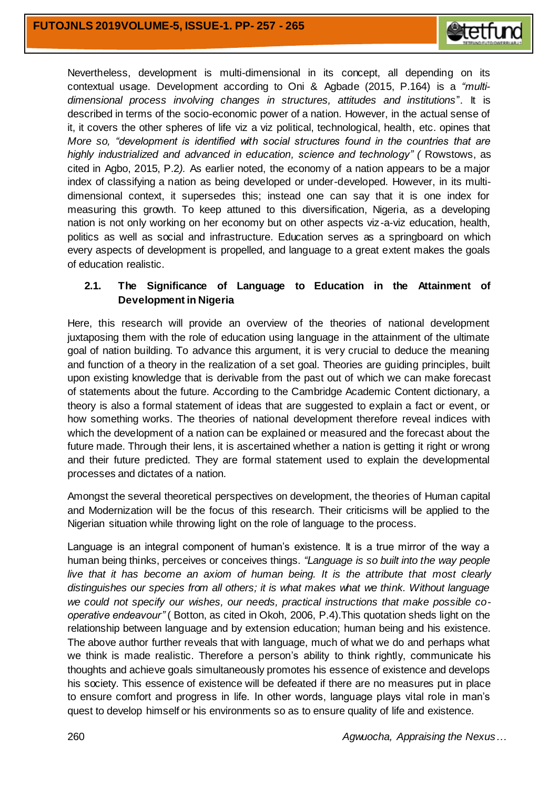

Nevertheless, development is multi-dimensional in its concept, all depending on its contextual usage. Development according to Oni & Agbade (2015, P.164) is a *"multidimensional process involving changes in structures, attitudes and institutions*". It is described in terms of the socio-economic power of a nation. However, in the actual sense of it, it covers the other spheres of life viz a viz political, technological, health, etc. opines that *More so, "development is identified with social structures found in the countries that are highly industrialized and advanced in education, science and technology" (* Rowstows, as cited in Agbo, 2015, P.2*).* As earlier noted, the economy of a nation appears to be a major index of classifying a nation as being developed or under-developed. However, in its multidimensional context, it supersedes this; instead one can say that it is one index for measuring this growth. To keep attuned to this diversification, Nigeria, as a developing nation is not only working on her economy but on other aspects viz-a-viz education, health, politics as well as social and infrastructure. Education serves as a springboard on which every aspects of development is propelled, and language to a great extent makes the goals of education realistic.

# **2.1. The Significance of Language to Education in the Attainment of Development in Nigeria**

Here, this research will provide an overview of the theories of national development juxtaposing them with the role of education using language in the attainment of the ultimate goal of nation building. To advance this argument, it is very crucial to deduce the meaning and function of a theory in the realization of a set goal. Theories are guiding principles, built upon existing knowledge that is derivable from the past out of which we can make forecast of statements about the future. According to the Cambridge Academic Content dictionary, a theory is also a formal statement of ideas that are suggested to explain a fact or event, or how something works. The theories of national development therefore reveal indices with which the development of a nation can be explained or measured and the forecast about the future made. Through their lens, it is ascertained whether a nation is getting it right or wrong and their future predicted. They are formal statement used to explain the developmental processes and dictates of a nation.

Amongst the several theoretical perspectives on development, the theories of Human capital and Modernization will be the focus of this research. Their criticisms will be applied to the Nigerian situation while throwing light on the role of language to the process.

Language is an integral component of human's existence. It is a true mirror of the way a human being thinks, perceives or conceives things. *"Language is so built into the way people live that it has become an axiom of human being. It is the attribute that most clearly distinguishes our species from all others; it is what makes what we think. Without language we could not specify our wishes, our needs, practical instructions that make possible cooperative endeavour"* ( Botton, as cited in Okoh, 2006, P.4).This quotation sheds light on the relationship between language and by extension education; human being and his existence. The above author further reveals that with language, much of what we do and perhaps what we think is made realistic. Therefore a person's ability to think rightly, communicate his thoughts and achieve goals simultaneously promotes his essence of existence and develops his society. This essence of existence will be defeated if there are no measures put in place to ensure comfort and progress in life. In other words, language plays vital role in man's quest to develop himself or his environments so as to ensure quality of life and existence.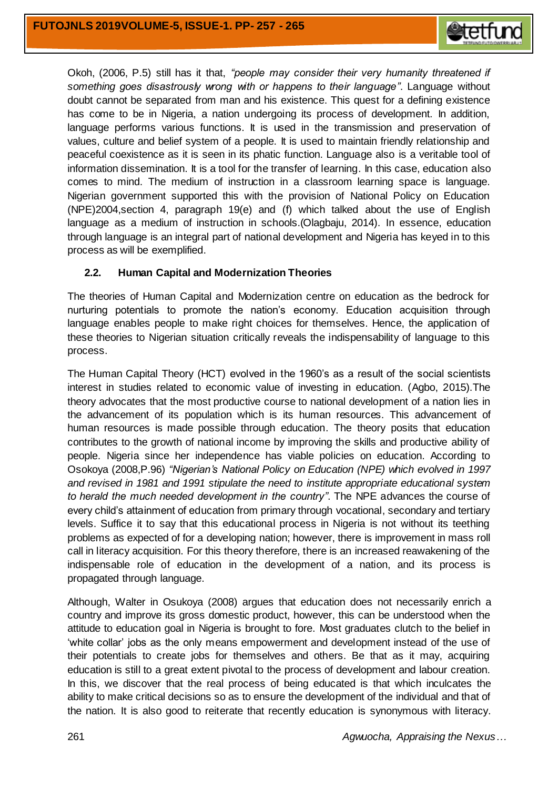

Okoh, (2006, P.5) still has it that, *"people may consider their very humanity threatened if something goes disastrously wrong with or happens to their language"*. Language without doubt cannot be separated from man and his existence. This quest for a defining existence has come to be in Nigeria, a nation undergoing its process of development. In addition, language performs various functions. It is used in the transmission and preservation of values, culture and belief system of a people. It is used to maintain friendly relationship and peaceful coexistence as it is seen in its phatic function. Language also is a veritable tool of information dissemination. It is a tool for the transfer of learning. In this case, education also comes to mind. The medium of instruction in a classroom learning space is language. Nigerian government supported this with the provision of National Policy on Education (NPE)2004,section 4, paragraph 19(e) and (f) which talked about the use of English language as a medium of instruction in schools.(Olagbaju, 2014). In essence, education through language is an integral part of national development and Nigeria has keyed in to this process as will be exemplified.

# **2.2. Human Capital and Modernization Theories**

The theories of Human Capital and Modernization centre on education as the bedrock for nurturing potentials to promote the nation's economy. Education acquisition through language enables people to make right choices for themselves. Hence, the application of these theories to Nigerian situation critically reveals the indispensability of language to this process.

The Human Capital Theory (HCT) evolved in the 1960's as a result of the social scientists interest in studies related to economic value of investing in education. (Agbo, 2015).The theory advocates that the most productive course to national development of a nation lies in the advancement of its population which is its human resources. This advancement of human resources is made possible through education. The theory posits that education contributes to the growth of national income by improving the skills and productive ability of people. Nigeria since her independence has viable policies on education. According to Osokoya (2008,P.96) *"Nigerian's National Policy on Education (NPE) which evolved in 1997 and revised in 1981 and 1991 stipulate the need to institute appropriate educational system to herald the much needed development in the country"*. The NPE advances the course of every child's attainment of education from primary through vocational, secondary and tertiary levels. Suffice it to say that this educational process in Nigeria is not without its teething problems as expected of for a developing nation; however, there is improvement in mass roll call in literacy acquisition. For this theory therefore, there is an increased reawakening of the indispensable role of education in the development of a nation, and its process is propagated through language.

Although, Walter in Osukoya (2008) argues that education does not necessarily enrich a country and improve its gross domestic product, however, this can be understood when the attitude to education goal in Nigeria is brought to fore. Most graduates clutch to the belief in 'white collar' jobs as the only means empowerment and development instead of the use of their potentials to create jobs for themselves and others. Be that as it may, acquiring education is still to a great extent pivotal to the process of development and labour creation. In this, we discover that the real process of being educated is that which inculcates the ability to make critical decisions so as to ensure the development of the individual and that of the nation. It is also good to reiterate that recently education is synonymous with literacy.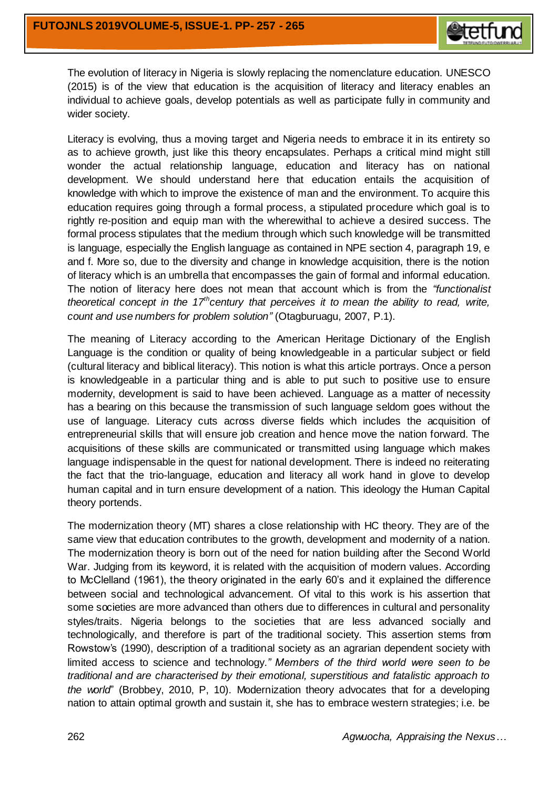

The evolution of literacy in Nigeria is slowly replacing the nomenclature education. UNESCO (2015) is of the view that education is the acquisition of literacy and literacy enables an individual to achieve goals, develop potentials as well as participate fully in community and wider society.

Literacy is evolving, thus a moving target and Nigeria needs to embrace it in its entirety so as to achieve growth, just like this theory encapsulates. Perhaps a critical mind might still wonder the actual relationship language, education and literacy has on national development. We should understand here that education entails the acquisition of knowledge with which to improve the existence of man and the environment. To acquire this education requires going through a formal process, a stipulated procedure which goal is to rightly re-position and equip man with the wherewithal to achieve a desired success. The formal process stipulates that the medium through which such knowledge will be transmitted is language, especially the English language as contained in NPE section 4, paragraph 19, e and f. More so, due to the diversity and change in knowledge acquisition, there is the notion of literacy which is an umbrella that encompasses the gain of formal and informal education. The notion of literacy here does not mean that account which is from the *"functionalist theoretical concept in the 17thcentury that perceives it to mean the ability to read, write, count and use numbers for problem solution"* (Otagburuagu, 2007, P.1).

The meaning of Literacy according to the American Heritage Dictionary of the English Language is the condition or quality of being knowledgeable in a particular subject or field (cultural literacy and biblical literacy). This notion is what this article portrays. Once a person is knowledgeable in a particular thing and is able to put such to positive use to ensure modernity, development is said to have been achieved. Language as a matter of necessity has a bearing on this because the transmission of such language seldom goes without the use of language. Literacy cuts across diverse fields which includes the acquisition of entrepreneurial skills that will ensure job creation and hence move the nation forward. The acquisitions of these skills are communicated or transmitted using language which makes language indispensable in the quest for national development. There is indeed no reiterating the fact that the trio-language, education and literacy all work hand in glove to develop human capital and in turn ensure development of a nation. This ideology the Human Capital theory portends.

The modernization theory (MT) shares a close relationship with HC theory. They are of the same view that education contributes to the growth, development and modernity of a nation. The modernization theory is born out of the need for nation building after the Second World War. Judging from its keyword, it is related with the acquisition of modern values. According to McClelland (1961), the theory originated in the early 60's and it explained the difference between social and technological advancement. Of vital to this work is his assertion that some societies are more advanced than others due to differences in cultural and personality styles/traits. Nigeria belongs to the societies that are less advanced socially and technologically, and therefore is part of the traditional society. This assertion stems from Rowstow's (1990), description of a traditional society as an agrarian dependent society with limited access to science and technology.*" Members of the third world were seen to be traditional and are characterised by their emotional, superstitious and fatalistic approach to the world*" (Brobbey, 2010, P, 10). Modernization theory advocates that for a developing nation to attain optimal growth and sustain it, she has to embrace western strategies; i.e. be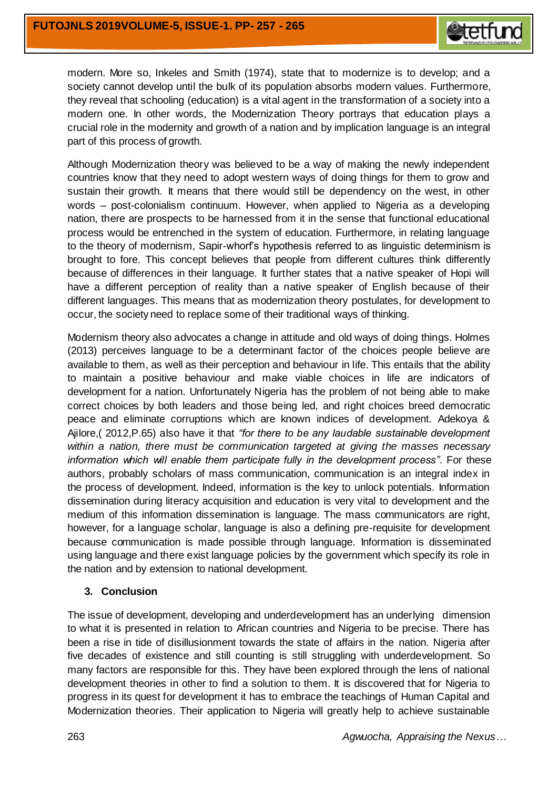

modern. More so, Inkeles and Smith (1974), state that to modernize is to develop; and a society cannot develop until the bulk of its population absorbs modern values. Furthermore, they reveal that schooling (education) is a vital agent in the transformation of a society into a modern one. In other words, the Modernization Theory portrays that education plays a crucial role in the modernity and growth of a nation and by implication language is an integral part of this process of growth.

Although Modernization theory was believed to be a way of making the newly independent countries know that they need to adopt western ways of doing things for them to grow and sustain their growth. It means that there would still be dependency on the west, in other words – post-colonialism continuum. However, when applied to Nigeria as a developing nation, there are prospects to be harnessed from it in the sense that functional educational process would be entrenched in the system of education. Furthermore, in relating language to the theory of modernism, Sapir-whorf's hypothesis referred to as linguistic determinism is brought to fore. This concept believes that people from different cultures think differently because of differences in their language. It further states that a native speaker of Hopi will have a different perception of reality than a native speaker of English because of their different languages. This means that as modernization theory postulates, for development to occur, the society need to replace some of their traditional ways of thinking.

Modernism theory also advocates a change in attitude and old ways of doing things. Holmes (2013) perceives language to be a determinant factor of the choices people believe are available to them, as well as their perception and behaviour in life. This entails that the ability to maintain a positive behaviour and make viable choices in life are indicators of development for a nation. Unfortunately Nigeria has the problem of not being able to make correct choices by both leaders and those being led, and right choices breed democratic peace and eliminate corruptions which are known indices of development. Adekoya & Ajilore,( 2012,P.65) also have it that *"for there to be any laudable sustainable development within a nation, there must be communication targeted at giving the masses necessary information which will enable them participate fully in the development process"*. For these authors, probably scholars of mass communication, communication is an integral index in the process of development. Indeed, information is the key to unlock potentials. Information dissemination during literacy acquisition and education is very vital to development and the medium of this information dissemination is language. The mass communicators are right, however, for a language scholar, language is also a defining pre-requisite for development because communication is made possible through language. Information is disseminated using language and there exist language policies by the government which specify its role in the nation and by extension to national development.

# **3. Conclusion**

The issue of development, developing and underdevelopment has an underlying dimension to what it is presented in relation to African countries and Nigeria to be precise. There has been a rise in tide of disillusionment towards the state of affairs in the nation. Nigeria after five decades of existence and still counting is still struggling with underdevelopment. So many factors are responsible for this. They have been explored through the lens of national development theories in other to find a solution to them. It is discovered that for Nigeria to progress in its quest for development it has to embrace the teachings of Human Capital and Modernization theories. Their application to Nigeria will greatly help to achieve sustainable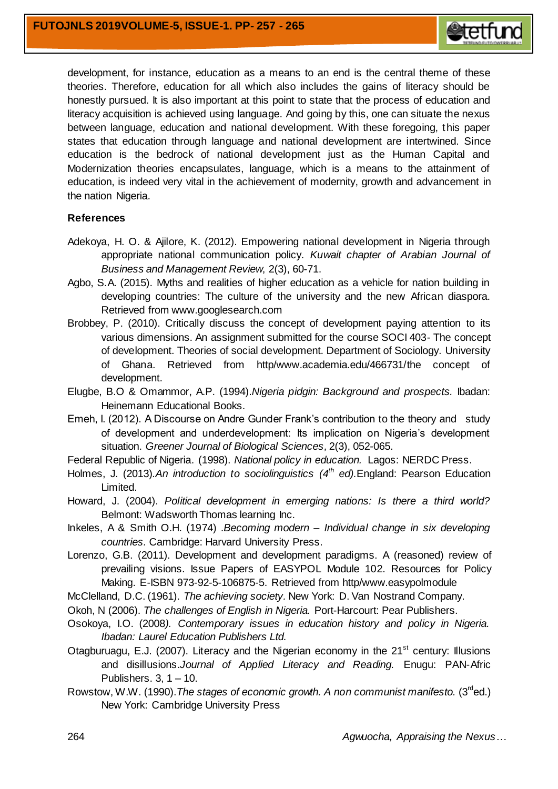

development, for instance, education as a means to an end is the central theme of these theories. Therefore, education for all which also includes the gains of literacy should be honestly pursued. It is also important at this point to state that the process of education and literacy acquisition is achieved using language. And going by this, one can situate the nexus between language, education and national development. With these foregoing, this paper states that education through language and national development are intertwined. Since education is the bedrock of national development just as the Human Capital and Modernization theories encapsulates, language, which is a means to the attainment of education, is indeed very vital in the achievement of modernity, growth and advancement in the nation Nigeria.

## **References**

- Adekoya, H. O. & Ajilore, K. (2012). Empowering national development in Nigeria through appropriate national communication policy. *Kuwait chapter of Arabian Journal of Business and Management Review*, 2(3), 60-71.
- Agbo, S.A. (2015). Myths and realities of higher education as a vehicle for nation building in developing countries: The culture of the university and the new African diaspora. Retrieved from [www.googlesearch.com](http://www.googlesearch.com/)
- Brobbey, P. (2010). Critically discuss the concept of development paying attention to its various dimensions. An assignment submitted for the course SOCI 403- The concept of development. Theories of social development. Department of Sociology. University of Ghana. Retrieved from http/www.academia.edu/466731/the concept of development.
- Elugbe, B.O & Omammor, A.P. (1994).*Nigeria pidgin: Background and prospects.* Ibadan: Heinemann Educational Books.
- Emeh, I. (2012). A Discourse on Andre Gunder Frank's contribution to the theory and study of development and underdevelopment: Its implication on Nigeria's development situation. *Greener Journal of Biological Sciences,* 2(3), 052-065.
- Federal Republic of Nigeria. (1998). *National policy in education.* Lagos: NERDC Press.
- Holmes, J. (2013)*.An introduction to sociolinguistics (4th ed).*England: Pearson Education Limited.
- Howard, J. (2004). *Political development in emerging nations: Is there a third world?* Belmont: Wadsworth Thomas learning Inc.
- Inkeles, A & Smith O.H. (1974) .*Becoming modern – Individual change in six developing countries.* Cambridge: Harvard University Press.
- Lorenzo, G.B. (2011). Development and development paradigms. A (reasoned) review of prevailing visions. Issue Papers of EASYPOL Module 102. Resources for Policy Making. E-ISBN 973-92-5-106875-5. Retrieved from http/www.easypolmodule
- McClelland, D.C. (1961). *The achieving society.* New York: D. Van Nostrand Company.
- Okoh, N (2006). *The challenges of English in Nigeria.* Port-Harcourt: Pear Publishers.
- Osokoya, I.O. (2008*). Contemporary issues in education history and policy in Nigeria. Ibadan: Laurel Education Publishers Ltd.*
- Otagburuagu, E.J. (2007). Literacy and the Nigerian economy in the  $21<sup>st</sup>$  century: Illusions and disillusions.*Journal of Applied Literacy and Reading.* Enugu: PAN-Afric Publishers.  $3, 1 - 10$ .
- Rowstow, W.W. (1990). The stages of economic growth. A non communist manifesto. (3<sup>rd</sup>ed.) New York: Cambridge University Press